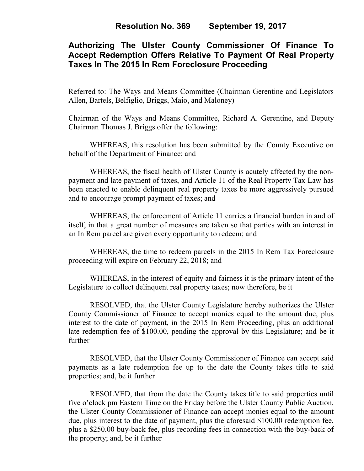# **Authorizing The Ulster County Commissioner Of Finance To Accept Redemption Offers Relative To Payment Of Real Property Taxes In The 2015 In Rem Foreclosure Proceeding**

Referred to: The Ways and Means Committee (Chairman Gerentine and Legislators Allen, Bartels, Belfiglio, Briggs, Maio, and Maloney)

Chairman of the Ways and Means Committee, Richard A. Gerentine, and Deputy Chairman Thomas J. Briggs offer the following:

WHEREAS, this resolution has been submitted by the County Executive on behalf of the Department of Finance; and

WHEREAS, the fiscal health of Ulster County is acutely affected by the nonpayment and late payment of taxes, and Article 11 of the Real Property Tax Law has been enacted to enable delinquent real property taxes be more aggressively pursued and to encourage prompt payment of taxes; and

 WHEREAS, the enforcement of Article 11 carries a financial burden in and of itself, in that a great number of measures are taken so that parties with an interest in an In Rem parcel are given every opportunity to redeem; and

 WHEREAS, the time to redeem parcels in the 2015 In Rem Tax Foreclosure proceeding will expire on February 22, 2018; and

 WHEREAS, in the interest of equity and fairness it is the primary intent of the Legislature to collect delinquent real property taxes; now therefore, be it

 RESOLVED, that the Ulster County Legislature hereby authorizes the Ulster County Commissioner of Finance to accept monies equal to the amount due, plus interest to the date of payment, in the 2015 In Rem Proceeding, plus an additional late redemption fee of \$100.00, pending the approval by this Legislature; and be it further

 RESOLVED, that the Ulster County Commissioner of Finance can accept said payments as a late redemption fee up to the date the County takes title to said properties; and, be it further

 RESOLVED, that from the date the County takes title to said properties until five o'clock pm Eastern Time on the Friday before the Ulster County Public Auction, the Ulster County Commissioner of Finance can accept monies equal to the amount due, plus interest to the date of payment, plus the aforesaid \$100.00 redemption fee, plus a \$250.00 buy-back fee, plus recording fees in connection with the buy-back of the property; and, be it further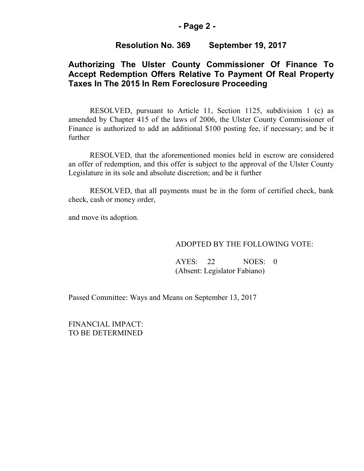## **- Page 2 -**

### **Resolution No. 369 September 19, 2017**

## **Authorizing The Ulster County Commissioner Of Finance To Accept Redemption Offers Relative To Payment Of Real Property Taxes In The 2015 In Rem Foreclosure Proceeding**

RESOLVED, pursuant to Article 11, Section 1125, subdivision 1 (c) as amended by Chapter 415 of the laws of 2006, the Ulster County Commissioner of Finance is authorized to add an additional \$100 posting fee, if necessary; and be it further

 RESOLVED, that the aforementioned monies held in escrow are considered an offer of redemption, and this offer is subject to the approval of the Ulster County Legislature in its sole and absolute discretion; and be it further

RESOLVED, that all payments must be in the form of certified check, bank check, cash or money order,

and move its adoption.

#### ADOPTED BY THE FOLLOWING VOTE:

AYES: 22 NOES: 0 (Absent: Legislator Fabiano)

Passed Committee: Ways and Means on September 13, 2017

FINANCIAL IMPACT: TO BE DETERMINED